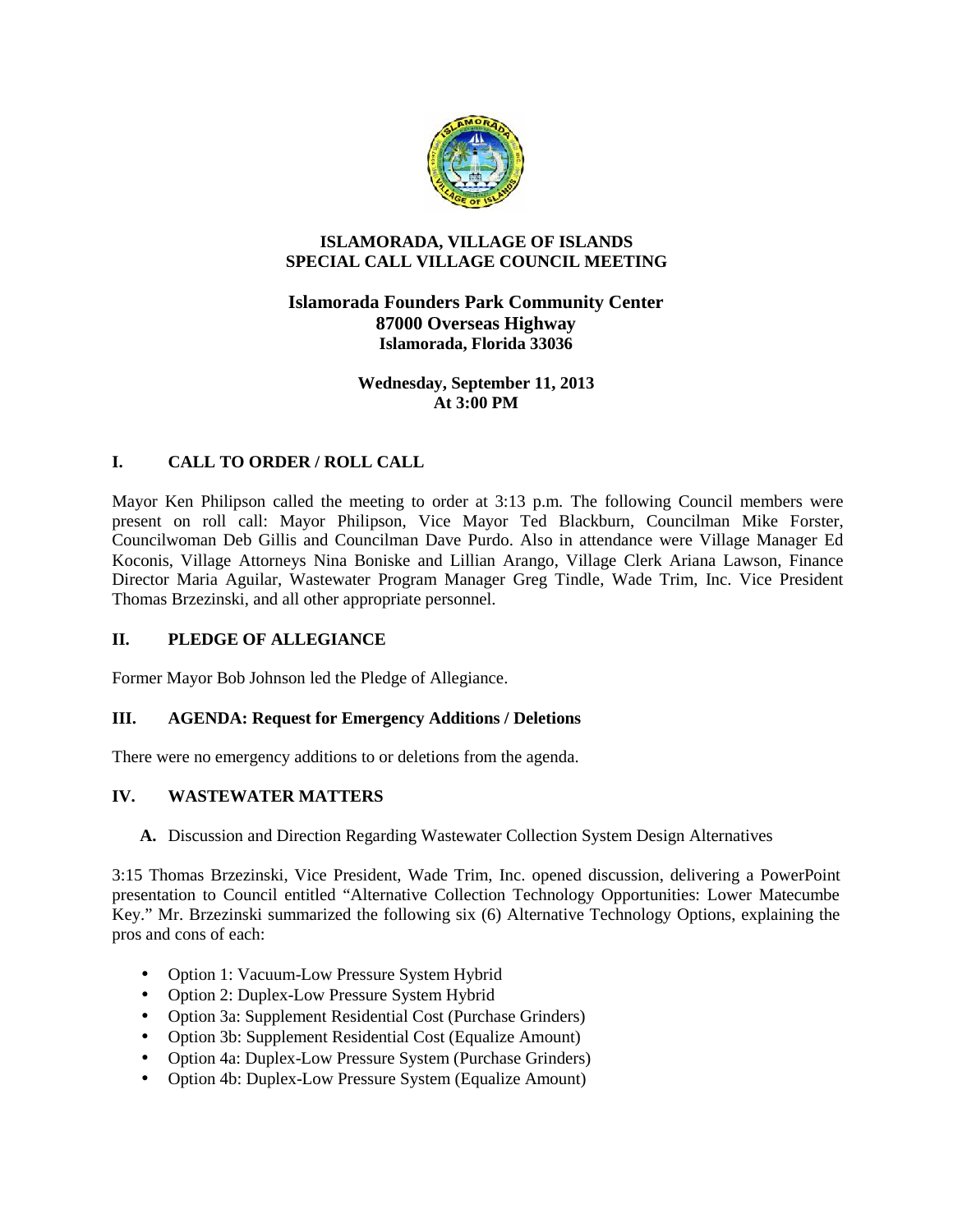

### **ISLAMORADA, VILLAGE OF ISLANDS SPECIAL CALL VILLAGE COUNCIL MEETING**

# **Islamorada Founders Park Community Center 87000 Overseas Highway Islamorada, Florida 33036**

**Wednesday, September 11, 2013 At 3:00 PM**

# **I. CALL TO ORDER / ROLL CALL**

Mayor Ken Philipson called the meeting to order at 3:13 p.m. The following Council members were present on roll call: Mayor Philipson, Vice Mayor Ted Blackburn, Councilman Mike Forster, Councilwoman Deb Gillis and Councilman Dave Purdo. Also in attendance were Village Manager Ed Koconis, Village Attorneys Nina Boniske and Lillian Arango, Village Clerk Ariana Lawson, Finance Director Maria Aguilar, Wastewater Program Manager Greg Tindle, Wade Trim, Inc. Vice President Thomas Brzezinski, and all other appropriate personnel.

# **II. PLEDGE OF ALLEGIANCE**

Former Mayor Bob Johnson led the Pledge of Allegiance.

# **III. AGENDA: Request for Emergency Additions / Deletions**

There were no emergency additions to or deletions from the agenda.

# **IV. WASTEWATER MATTERS**

**A.** Discussion and Direction Regarding Wastewater Collection System Design Alternatives

3:15 Thomas Brzezinski, Vice President, Wade Trim, Inc. opened discussion, delivering a PowerPoint presentation to Council entitled "Alternative Collection Technology Opportunities: Lower Matecumbe Key." Mr. Brzezinski summarized the following six (6) Alternative Technology Options, explaining the pros and cons of each:

- Option 1: Vacuum-Low Pressure System Hybrid
- Option 2: Duplex-Low Pressure System Hybrid
- Option 3a: Supplement Residential Cost (Purchase Grinders)
- Option 3b: Supplement Residential Cost (Equalize Amount)
- Option 4a: Duplex-Low Pressure System (Purchase Grinders)
- Option 4b: Duplex-Low Pressure System (Equalize Amount)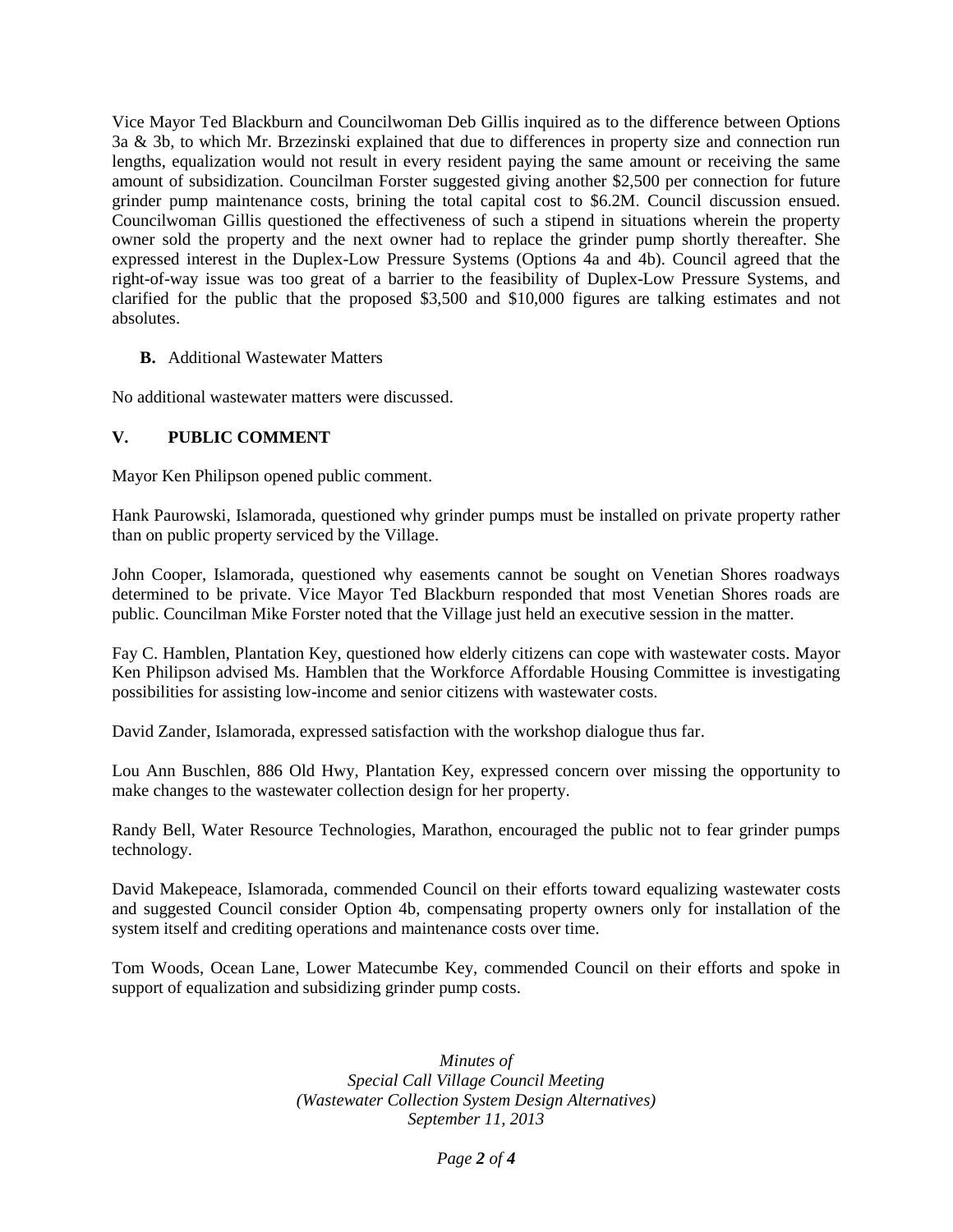Vice Mayor Ted Blackburn and Councilwoman Deb Gillis inquired as to the difference between Options 3a & 3b, to which Mr. Brzezinski explained that due to differences in property size and connection run lengths, equalization would not result in every resident paying the same amount or receiving the same amount of subsidization. Councilman Forster suggested giving another \$2,500 per connection for future grinder pump maintenance costs, brining the total capital cost to \$6.2M. Council discussion ensued. Councilwoman Gillis questioned the effectiveness of such a stipend in situations wherein the property owner sold the property and the next owner had to replace the grinder pump shortly thereafter. She expressed interest in the Duplex-Low Pressure Systems (Options 4a and 4b). Council agreed that the right-of-way issue was too great of a barrier to the feasibility of Duplex-Low Pressure Systems, and clarified for the public that the proposed \$3,500 and \$10,000 figures are talking estimates and not absolutes.

### **B.** Additional Wastewater Matters

No additional wastewater matters were discussed.

# **V. PUBLIC COMMENT**

Mayor Ken Philipson opened public comment.

Hank Paurowski, Islamorada, questioned why grinder pumps must be installed on private property rather than on public property serviced by the Village.

John Cooper, Islamorada, questioned why easements cannot be sought on Venetian Shores roadways determined to be private. Vice Mayor Ted Blackburn responded that most Venetian Shores roads are public. Councilman Mike Forster noted that the Village just held an executive session in the matter.

Fay C. Hamblen, Plantation Key, questioned how elderly citizens can cope with wastewater costs. Mayor Ken Philipson advised Ms. Hamblen that the Workforce Affordable Housing Committee is investigating possibilities for assisting low-income and senior citizens with wastewater costs.

David Zander, Islamorada, expressed satisfaction with the workshop dialogue thus far.

Lou Ann Buschlen, 886 Old Hwy, Plantation Key, expressed concern over missing the opportunity to make changes to the wastewater collection design for her property.

Randy Bell, Water Resource Technologies, Marathon, encouraged the public not to fear grinder pumps technology.

David Makepeace, Islamorada, commended Council on their efforts toward equalizing wastewater costs and suggested Council consider Option 4b, compensating property owners only for installation of the system itself and crediting operations and maintenance costs over time.

Tom Woods, Ocean Lane, Lower Matecumbe Key, commended Council on their efforts and spoke in support of equalization and subsidizing grinder pump costs.

> *Minutes of Special Call Village Council Meeting (Wastewater Collection System Design Alternatives) September 11, 2013*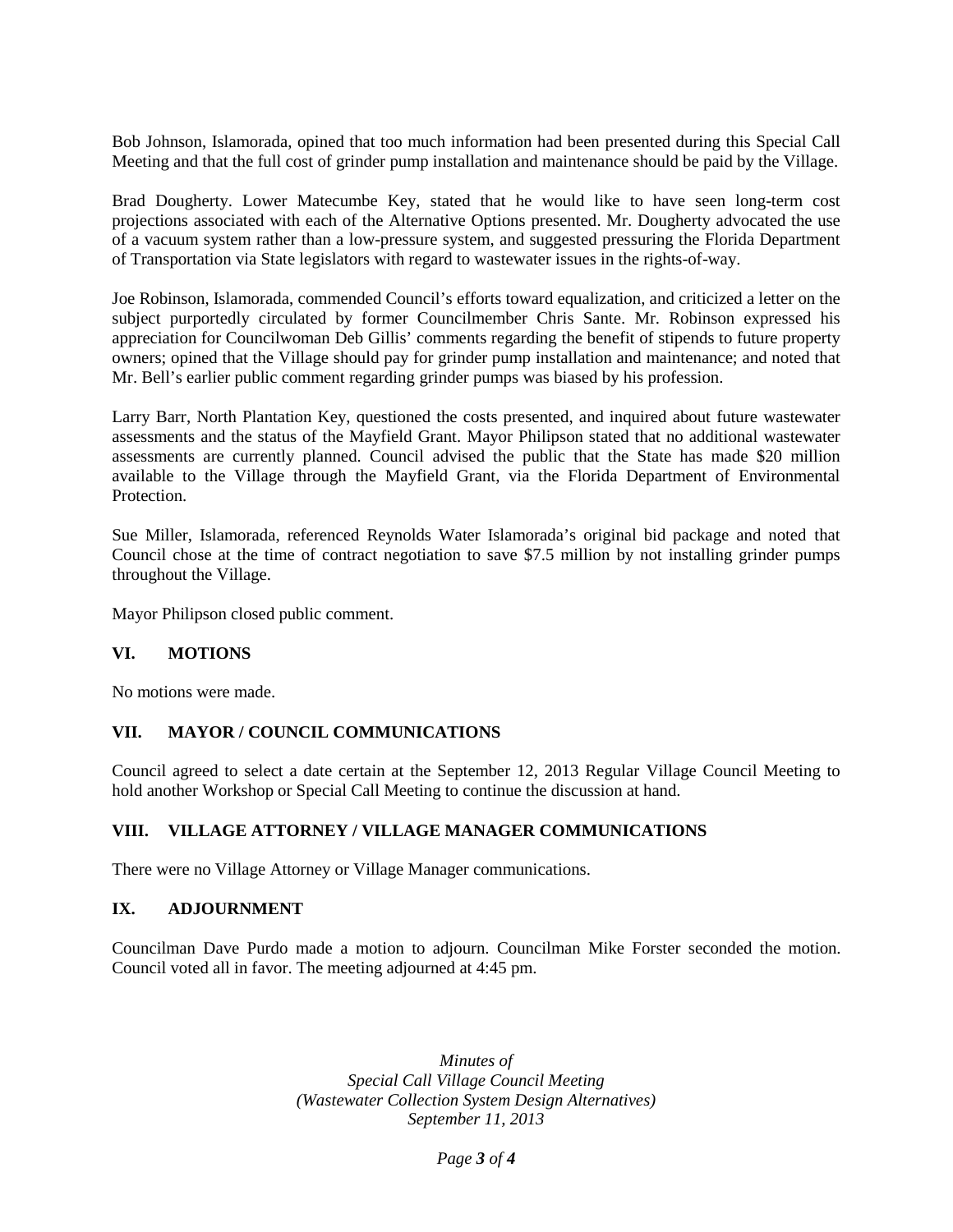Bob Johnson, Islamorada, opined that too much information had been presented during this Special Call Meeting and that the full cost of grinder pump installation and maintenance should be paid by the Village.

Brad Dougherty. Lower Matecumbe Key, stated that he would like to have seen long-term cost projections associated with each of the Alternative Options presented. Mr. Dougherty advocated the use of a vacuum system rather than a low-pressure system, and suggested pressuring the Florida Department of Transportation via State legislators with regard to wastewater issues in the rights-of-way.

Joe Robinson, Islamorada, commended Council's efforts toward equalization, and criticized a letter on the subject purportedly circulated by former Councilmember Chris Sante. Mr. Robinson expressed his appreciation for Councilwoman Deb Gillis' comments regarding the benefit of stipends to future property owners; opined that the Village should pay for grinder pump installation and maintenance; and noted that Mr. Bell's earlier public comment regarding grinder pumps was biased by his profession.

Larry Barr, North Plantation Key, questioned the costs presented, and inquired about future wastewater assessments and the status of the Mayfield Grant. Mayor Philipson stated that no additional wastewater assessments are currently planned. Council advised the public that the State has made \$20 million available to the Village through the Mayfield Grant, via the Florida Department of Environmental Protection.

Sue Miller, Islamorada, referenced Reynolds Water Islamorada's original bid package and noted that Council chose at the time of contract negotiation to save \$7.5 million by not installing grinder pumps throughout the Village.

Mayor Philipson closed public comment.

### **VI. MOTIONS**

No motions were made.

### **VII. MAYOR / COUNCIL COMMUNICATIONS**

Council agreed to select a date certain at the September 12, 2013 Regular Village Council Meeting to hold another Workshop or Special Call Meeting to continue the discussion at hand.

### **VIII. VILLAGE ATTORNEY / VILLAGE MANAGER COMMUNICATIONS**

There were no Village Attorney or Village Manager communications.

### **IX. ADJOURNMENT**

Councilman Dave Purdo made a motion to adjourn. Councilman Mike Forster seconded the motion. Council voted all in favor. The meeting adjourned at 4:45 pm.

> *Minutes of Special Call Village Council Meeting (Wastewater Collection System Design Alternatives) September 11, 2013*